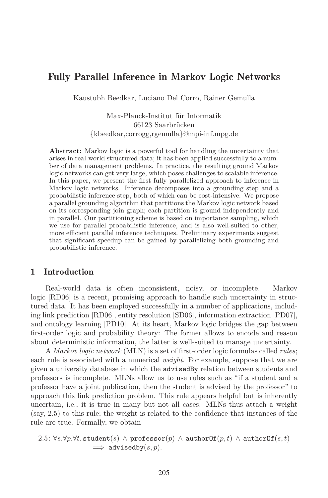# Fully Parallel Inference in Markov Logic Networks

Kaustubh Beedkar, Luciano Del Corro, Rainer Gemulla

Max-Planck-Institut für Informatik 66123 Saarbrücken {kbeedkar,corrogg,rgemulla}@mpi-inf.mpg.de

**Abstract:** Markov logic is a powerful tool for handling the uncertainty that arises in real-world structured data; it has been applied successfully to a number of data management problems. In practice, the resulting ground Markov logic networks can get very large, which poses challenges to scalable inference. In this paper, we present the first fully parallelized approach to inference in Markov logic networks. Inference decomposes into a grounding step and a probabilistic inference step, both of which can be cost-intensive. We propose a parallel grounding algorithm that partitions the Markov logic network based on its corresponding join graph; each partition is ground independently and in parallel. Our partitioning scheme is based on importance sampling, which we use for parallel probabilistic inference, and is also well-suited to other, more efficient parallel inference techniques. Preliminary experiments suggest that significant speedup can be gained by parallelizing both grounding and probabilistic inference.

# 1 Introduction

Real-world data is often inconsistent, noisy, or incomplete. Markov logic [RD06] is a recent, promising approach to handle such uncertainty in structured data. It has been employed successfully in a number of applications, including link prediction [RD06], entity resolution [SD06], information extraction [PD07], and ontology learning [PD10]. At its heart, Markov logic bridges the gap between first-order logic and probability theory: The former allows to encode and reason about deterministic information, the latter is well-suited to manage uncertainty.

A *Markov logic network* (MLN) is a set of first-order logic formulas called *rules*; each rule is associated with a numerical *weight*. For example, suppose that we are given a university database in which the advisedBy relation between students and professors is incomplete. MLNs allow us to use rules such as "if a student and a professor have a joint publication, then the student is advised by the professor" to approach this link prediction problem. This rule appears helpful but is inherently uncertain, i.e., it is true in many but not all cases. MLNs thus attach a weight (say, 2.5) to this rule; the weight is related to the confidence that instances of the rule are true. Formally, we obtain

```
2.5: \forall s.\forall p.\forall t. student(s) ∧ professor(p) ∧ authorOf(p,t) ∧ authorOf(s,t)
                    \implies advisedby(s, p).
```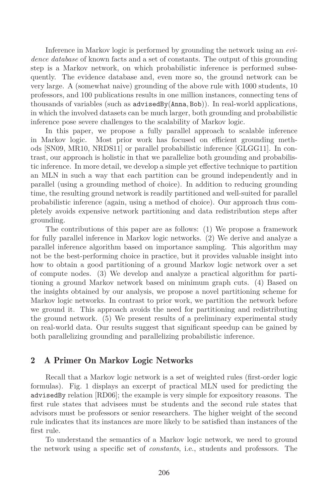Inference in Markov logic is performed by grounding the network using an *evidence database* of known facts and a set of constants. The output of this grounding step is a Markov network, on which probabilistic inference is performed subsequently. The evidence database and, even more so, the ground network can be very large. A (somewhat naive) grounding of the above rule with 1000 students, 10 professors, and 100 publications results in one million instances, connecting tens of thousands of variables (such as advisedBy(Anna*,* Bob)). In real-world applications, in which the involved datasets can be much larger, both grounding and probabilistic inference pose severe challenges to the scalability of Markov logic.

In this paper, we propose a fully parallel approach to scalable inference in Markov logic. Most prior work has focused on efficient grounding methods [SN09, MR10, NRDS11] or parallel probabilistic inference [GLGG11]. In contrast, our approach is holistic in that we parallelize both grounding and probabilistic inference. In more detail, we develop a simple yet effective technique to partition an MLN in such a way that each partition can be ground independently and in parallel (using a grounding method of choice). In addition to reducing grounding time, the resulting ground network is readily partitioned and well-suited for parallel probabilistic inference (again, using a method of choice). Our approach thus completely avoids expensive network partitioning and data redistribution steps after grounding.

The contributions of this paper are as follows: (1) We propose a framework for fully parallel inference in Markov logic networks. (2) We derive and analyze a parallel inference algorithm based on importance sampling. This algorithm may not be the best-performing choice in practice, but it provides valuable insight into how to obtain a good partitioning of a ground Markov logic network over a set of compute nodes. (3) We develop and analyze a practical algorithm for partitioning a ground Markov network based on minimum graph cuts. (4) Based on the insights obtained by our analysis, we propose a novel partitioning scheme for Markov logic networks. In contrast to prior work, we partition the network before we ground it. This approach avoids the need for partitioning and redistributing the ground network. (5) We present results of a preliminary experimental study on real-world data. Our results suggest that significant speedup can be gained by both parallelizing grounding and parallelizing probabilistic inference.

# 2 A Primer On Markov Logic Networks

Recall that a Markov logic network is a set of weighted rules (first-order logic formulas). Fig. 1 displays an excerpt of practical MLN used for predicting the advisedBy relation [RD06]; the example is very simple for expository reasons. The first rule states that advisees must be students and the second rule states that advisors must be professors or senior researchers. The higher weight of the second rule indicates that its instances are more likely to be satisfied than instances of the first rule.

To understand the semantics of a Markov logic network, we need to ground the network using a specific set of *constants*, i.e., students and professors. The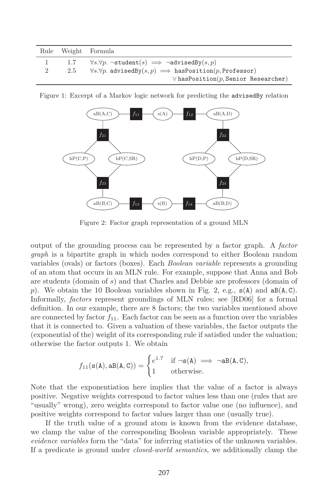|   |     | Rule Weight Formula                                                              |
|---|-----|----------------------------------------------------------------------------------|
|   | 1.7 | $\forall s. \forall p. \neg student(s) \implies \neg advantageBy(s, p)$          |
| 2 | 2.5 | $\forall s. \forall p.$ advisedBy $(s, p) \implies$ hasPosition $(p,$ Professor) |
|   |     | $\vee$ has Position $(p,$ Senior Researcher)                                     |



Figure 1: Excerpt of a Markov logic network for predicting the advisedBy relation

Figure 2: Factor graph representation of a ground MLN

output of the grounding process can be represented by a factor graph. A *factor graph* is a bipartite graph in which nodes correspond to either Boolean random variables (ovals) or factors (boxes). Each *Boolean variable* represents a grounding of an atom that occurs in an MLN rule. For example, suppose that Anna and Bob are students (domain of *s*) and that Charles and Debbie are professors (domain of *p*). We obtain the 10 Boolean variables shown in Fig. 2, e.g., s(A) and aB(A*,* C). Informally, *factors* represent groundings of MLN rules; see [RD06] for a formal definition. In our example, there are 8 factors; the two variables mentioned above are connected by factor  $f_{11}$ . Each factor can be seen as a function over the variables that it is connected to. Given a valuation of these variables, the factor outputs the (exponential of the) weight of its corresponding rule if satisfied under the valuation; otherwise the factor outputs 1. We obtain

$$
f_{11}(\mathbf{s}(A), \mathbf{a}\mathbf{B}(A, C)) = \begin{cases} e^{1.7} & \text{if } \neg \mathbf{s}(A) \implies \neg \mathbf{a}\mathbf{B}(A, C), \\ 1 & \text{otherwise.} \end{cases}
$$

Note that the exponentiation here implies that the value of a factor is always positive. Negative weights correspond to factor values less than one (rules that are "usually" wrong), zero weights correspond to factor value one (no influence), and positive weights correspond to factor values larger than one (usually true).

If the truth value of a ground atom is known from the evidence database, we clamp the value of the corresponding Boolean variable appropriately. These *evidence variables* form the "data" for inferring statistics of the unknown variables. If a predicate is ground under *closed-world semantics*, we additionally clamp the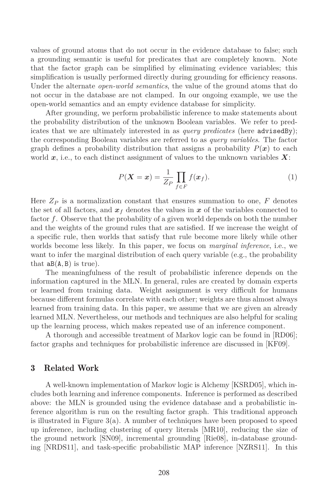values of ground atoms that do not occur in the evidence database to false; such a grounding semantic is useful for predicates that are completely known. Note that the factor graph can be simplified by eliminating evidence variables; this simplification is usually performed directly during grounding for efficiency reasons. Under the alternate *open-world semantics*, the value of the ground atoms that do not occur in the database are not clamped. In our ongoing example, we use the open-world semantics and an empty evidence database for simplicity.

After grounding, we perform probabilistic inference to make statements about the probability distribution of the unknown Boolean variables. We refer to predicates that we are ultimately interested in as *query predicates* (here advisedBy); the corresponding Boolean variables are referred to as *query variables*. The factor graph defines a probability distribution that assigns a probability  $P(x)$  to each world *x*, i.e., to each distinct assignment of values to the unknown variables *X*:

$$
P(\mathbf{X} = \mathbf{x}) = \frac{1}{Z_P} \prod_{f \in F} f(\mathbf{x}_f).
$$
 (1)

Here  $Z_P$  is a normalization constant that ensures summation to one,  $F$  denotes the set of all factors, and  $x_f$  denotes the values in x of the variables connected to factor *f*. Observe that the probability of a given world depends on both the number and the weights of the ground rules that are satisfied. If we increase the weight of a specific rule, then worlds that satisfy that rule become more likely while other worlds become less likely. In this paper, we focus on *marginal inference*, i.e., we want to infer the marginal distribution of each query variable (e.g., the probability that  $aB(A, B)$  is true).

The meaningfulness of the result of probabilistic inference depends on the information captured in the MLN. In general, rules are created by domain experts or learned from training data. Weight assignment is very difficult for humans because different formulas correlate with each other; weights are thus almost always learned from training data. In this paper, we assume that we are given an already learned MLN. Nevertheless, our methods and techniques are also helpful for scaling up the learning process, which makes repeated use of an inference component.

A thorough and accessible treatment of Markov logic can be found in [RD06]; factor graphs and techniques for probabilistic inference are discussed in [KF09].

## 3 Related Work

A well-known implementation of Markov logic is Alchemy [KSRD05], which includes both learning and inference components. Inference is performed as described above: the MLN is grounded using the evidence database and a probabilistic inference algorithm is run on the resulting factor graph. This traditional approach is illustrated in Figure  $3(a)$ . A number of techniques have been proposed to speed up inference, including clustering of query literals [MR10], reducing the size of the ground network [SN09], incremental grounding [Rie08], in-database grounding [NRDS11], and task-specific probabilistic MAP inference [NZRS11]. In this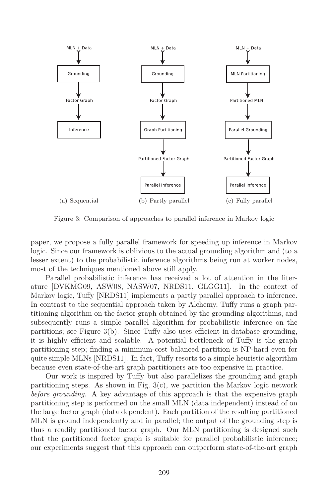

Figure 3: Comparison of approaches to parallel inference in Markov logic

paper, we propose a fully parallel framework for speeding up inference in Markov logic. Since our framework is oblivious to the actual grounding algorithm and (to a lesser extent) to the probabilistic inference algorithms being run at worker nodes, most of the techniques mentioned above still apply.

Parallel probabilistic inference has received a lot of attention in the literature [DVKMG09, ASW08, NASW07, NRDS11, GLGG11]. In the context of Markov logic, Tuffy [NRDS11] implements a partly parallel approach to inference. In contrast to the sequential approach taken by Alchemy, Tuffy runs a graph partitioning algorithm on the factor graph obtained by the grounding algorithms, and subsequently runs a simple parallel algorithm for probabilistic inference on the partitions; see Figure 3(b). Since Tuffy also uses efficient in-database grounding, it is highly efficient and scalable. A potential bottleneck of Tuffy is the graph partitioning step; finding a minimum-cost balanced partition is NP-hard even for quite simple MLNs [NRDS11]. In fact, Tuffy resorts to a simple heuristic algorithm because even state-of-the-art graph partitioners are too expensive in practice.

Our work is inspired by Tuffy but also parallelizes the grounding and graph partitioning steps. As shown in Fig.  $3(c)$ , we partition the Markov logic network *before grounding*. A key advantage of this approach is that the expensive graph partitioning step is performed on the small MLN (data independent) instead of on the large factor graph (data dependent). Each partition of the resulting partitioned MLN is ground independently and in parallel; the output of the grounding step is thus a readily partitioned factor graph. Our MLN partitioning is designed such that the partitioned factor graph is suitable for parallel probabilistic inference; our experiments suggest that this approach can outperform state-of-the-art graph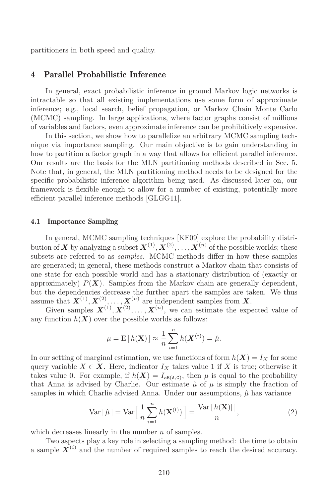partitioners in both speed and quality.

# 4 Parallel Probabilistic Inference

In general, exact probabilistic inference in ground Markov logic networks is intractable so that all existing implementations use some form of approximate inference; e.g., local search, belief propagation, or Markov Chain Monte Carlo (MCMC) sampling. In large applications, where factor graphs consist of millions of variables and factors, even approximate inference can be prohibitively expensive.

In this section, we show how to parallelize an arbitrary MCMC sampling technique via importance sampling. Our main objective is to gain understanding in how to partition a factor graph in a way that allows for efficient parallel inference. Our results are the basis for the MLN partitioning methods described in Sec. 5. Note that, in general, the MLN partitioning method needs to be designed for the specific probabilistic inference algorithm being used. As discussed later on, our framework is flexible enough to allow for a number of existing, potentially more efficient parallel inference methods [GLGG11].

### 4.1 Importance Sampling

In general, MCMC sampling techniques [KF09] explore the probability distribution of  $\boldsymbol{X}$  by analyzing a subset  $\boldsymbol{X}^{(1)},\boldsymbol{X}^{(2)},\ldots,\boldsymbol{X}^{(n)}$  of the possible worlds; these subsets are referred to as *samples*. MCMC methods differ in how these samples are generated; in general, these methods construct a Markov chain that consists of one state for each possible world and has a stationary distribution of (exactly or approximately)  $P(X)$ . Samples from the Markov chain are generally dependent, but the dependencies decrease the further apart the samples are taken. We thus assume that  $X^{(1)}, X^{(2)}, \ldots, X^{(n)}$  are independent samples from X.

Given samples  $X^{(1)}, X^{(2)}, \ldots, X^{(n)}$ , we can estimate the expected value of any function  $h(X)$  over the possible worlds as follows:

$$
\mu = \mathrm{E}\left[h(\mathbf{X})\right] \approx \frac{1}{n} \sum_{i=1}^{n} h(\mathbf{X}^{(i)}) = \hat{\mu}.
$$

In our setting of marginal estimation, we use functions of form  $h(X) = I_X$  for some query variable  $X \in \mathbf{X}$ . Here, indicator  $I_X$  takes value 1 if X is true; otherwise it takes value 0. For example, if  $h(X) = I_{aB(A,C)}$ , then  $\mu$  is equal to the probability that Anna is advised by Charlie. Our estimate  $\hat{\mu}$  of  $\mu$  is simply the fraction of samples in which Charlie advised Anna. Under our assumptions,  $\hat{\mu}$  has variance

$$
\text{Var}\left[\hat{\mu}\right] = \text{Var}\left[\frac{1}{n}\sum_{i=1}^{n} h(\mathbf{X}^{(i)})\right] = \frac{\text{Var}\left[h(\mathbf{X})\right]}{n},\tag{2}
$$

which decreases linearly in the number *n* of samples.

Two aspects play a key role in selecting a sampling method: the time to obtain a sample  $X^{(i)}$  and the number of required samples to reach the desired accuracy.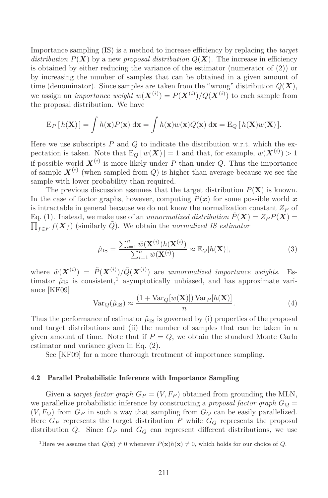Importance sampling (IS) is a method to increase efficiency by replacing the *target distribution*  $P(X)$  by a new *proposal distribution*  $Q(X)$ . The increase in efficiency is obtained by either reducing the variance of the estimator (numerator of (2)) or by increasing the number of samples that can be obtained in a given amount of time (denominator). Since samples are taken from the "wrong" distribution  $Q(X)$ , we assign an *importance weight*  $w(\mathbf{X}^{(i)}) = P(\mathbf{X}^{(i)})/Q(\mathbf{X}^{(i)})$  to each sample from the proposal distribution. We have

$$
E_P[h(\mathbf{X})] = \int h(\mathbf{x})P(\mathbf{x}) \, \mathrm{d}\mathbf{x} = \int h(\mathbf{x})w(\mathbf{x})Q(\mathbf{x}) \, \mathrm{d}\mathbf{x} = E_Q[h(\mathbf{X})w(\mathbf{X})].
$$

Here we use subscripts *P* and *Q* to indicate the distribution w.r.t. which the expectation is taken. Note that  $E_Q[w(\boldsymbol{X})] = 1$  and that, for example,  $w(\boldsymbol{X}^{(i)}) > 1$ if possible world  $\boldsymbol{X}^{(i)}$  is more likely under *P* than under *Q*. Thus the importance of sample  $X^{(i)}$  (when sampled from  $Q$ ) is higher than average because we see the sample with lower probability than required.

The previous discussion assumes that the target distribution  $P(X)$  is known. In the case of factor graphs, however, computing  $P(x)$  for some possible world x is intractable in general because we do not know the normalization constant *Z<sup>P</sup>* of Eq. (1). Instead, we make use of an *unnormalized distribution*  $\tilde{P}(X) = Z_P P(X) =$  $\prod_{f \in F} f(X_f)$  (similarly  $\tilde{Q}$ ). We obtain the *normalized IS estimator* 

$$
\hat{\mu}_{IS} = \frac{\sum_{i=1}^{n} \tilde{w}(\mathbf{X}^{(i)}) h(\mathbf{X}^{(i)})}{\sum_{i=1}^{n} \tilde{w}(\mathbf{X}^{(i)})} \approx \mathbb{E}_{Q}[h(\mathbf{X})],
$$
\n(3)

where  $\tilde{w}(\boldsymbol{X}^{(i)}) = \tilde{P}(\boldsymbol{X}^{(i)}) / \tilde{Q}(\boldsymbol{X}^{(i)})$  are *unnormalized importance weights*. Estimator  $\hat{\mu}_{IS}$  is consistent,<sup>1</sup> asymptotically unbiased, and has approximate variance [KF09]

$$
Var_Q(\hat{\mu}_{IS}) \approx \frac{(1 + Var_Q[w(\mathbf{X})]) Var_P[h(\mathbf{X})]}{n}.
$$
\n(4)

Thus the performance of estimator  $\hat{\mu}_{IS}$  is governed by (i) properties of the proposal and target distributions and (ii) the number of samples that can be taken in a given amount of time. Note that if  $P = Q$ , we obtain the standard Monte Carlo estimator and variance given in Eq. (2).

See [KF09] for a more thorough treatment of importance sampling.

### 4.2 Parallel Probabilistic Inference with Importance Sampling

Given a *target factor graph*  $G_P = (V, F_P)$  obtained from grounding the MLN, we parallelize probabilistic inference by constructing a *proposal factor graph*  $G_Q$  =  $(V, F_Q)$  from  $G_P$  in such a way that sampling from  $G_Q$  can be easily parallelized. Here  $G_P$  represents the target distribution  $P$  while  $G_Q$  represents the proposal distribution *Q*. Since  $G_P$  and  $G_Q$  can represent different distributions, we use

<sup>&</sup>lt;sup>1</sup>Here we assume that  $Q(\mathbf{x}) \neq 0$  whenever  $P(\mathbf{x})h(\mathbf{x}) \neq 0$ , which holds for our choice of *Q*.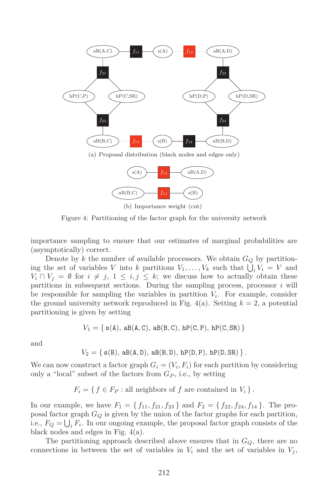

(b) Importance weight (cut)

Figure 4: Partitioning of the factor graph for the university network

importance sampling to ensure that our estimates of marginal probabilities are (asymptotically) correct.

Denote by *k* the number of available processors. We obtain  $G_Q$  by partitioning the set of variables *V* into *k* partitions  $V_1, \ldots, V_k$  such that  $\bigcup_i V_i = V$  and  $V_i \cap V_j = \emptyset$  for  $i \neq j$ ,  $1 \leq i, j \leq k$ ; we discuss how to actually obtain these partitions in subsequent sections. During the sampling process, processor *i* will be responsible for sampling the variables in partition  $V_i$ . For example, consider the ground university network reproduced in Fig.  $4(a)$ . Setting  $k = 2$ , a potential partitioning is given by setting

$$
V_1=\{\,\mathtt{s}(\mathtt{A}),\,\mathtt{a}\mathtt{B}(\mathtt{A},\mathtt{C}),\,\mathtt{a}\mathtt{B}(\mathtt{B},\mathtt{C}),\,\mathtt{h}\mathtt{P}(\mathtt{C},\mathtt{P}),\,\mathtt{h}\mathtt{P}(\mathtt{C},\mathtt{S}\mathtt{R})\,\}
$$

and

 $V_2 = \{ s(B), aB(A, D), aB(B, D), hP(D, P), hP(D, SR) \}$ .

We can now construct a factor graph  $G_i = (V_i, F_i)$  for each partition by considering only a "local" subset of the factors from  $G_P$ , i.e., by setting

 $F_i = \{ f \in F_P : \text{all neighbors of } f \text{ are contained in } V_i \}.$ 

In our example, we have  $F_1 = \{f_{11}, f_{21}, f_{23}\}$  and  $F_2 = \{f_{22}, f_{24}, f_{14}\}$ . The proposal factor graph *G<sup>Q</sup>* is given by the union of the factor graphs for each partition, i.e.,  $F_Q = \bigcup_i F_i$ . In our ongoing example, the proposal factor graph consists of the black nodes and edges in Fig. 4(a).

The partitioning approach described above ensures that in *GQ*, there are no connections in between the set of variables in  $V_i$  and the set of variables in  $V_j$ ,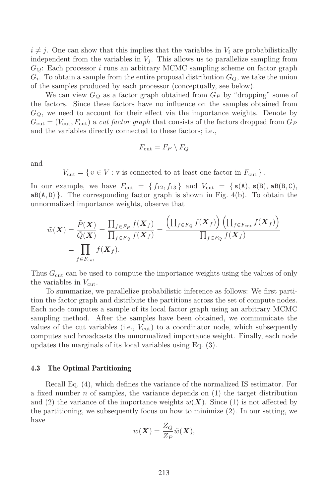$i \neq j$ . One can show that this implies that the variables in  $V_i$  are probabilistically independent from the variables in  $V_j$ . This allows us to parallelize sampling from *GQ*: Each processor *i* runs an arbitrary MCMC sampling scheme on factor graph  $G_i$ . To obtain a sample from the entire proposal distribution  $G_Q$ , we take the union of the samples produced by each processor (conceptually, see below).

We can view  $G_Q$  as a factor graph obtained from  $G_P$  by "dropping" some of the factors. Since these factors have no influence on the samples obtained from *GQ*, we need to account for their effect via the importance weights. Denote by  $G_{\text{cut}} = (V_{\text{cut}}, F_{\text{cut}})$  a *cut factor graph* that consists of the factors dropped from  $G_P$ and the variables directly connected to these factors; i.e.,

$$
F_{\rm cut}=F_P\setminus F_Q
$$

and

 $V_{\text{cut}} = \{ v \in V : v \text{ is connected to at least one factor in } F_{\text{cut}} \}.$ 

In our example, we have  $F_{\text{cut}} = \{f_{12}, f_{13}\}\$  and  $V_{\text{cut}} = \{\mathbf{s}(\mathbf{A}), \mathbf{s}(\mathbf{B}), \mathbf{a}\mathbf{B}(\mathbf{B}, \mathbf{C}),\}$  $aB(A, D)$ . The corresponding factor graph is shown in Fig. 4(b). To obtain the unnormalized importance weights, observe that

$$
\tilde{w}(\boldsymbol{X}) = \frac{\tilde{P}(\boldsymbol{X})}{\tilde{Q}(\boldsymbol{X})} = \frac{\prod_{f \in F_P} f(\boldsymbol{X}_f)}{\prod_{f \in F_Q} f(\boldsymbol{X}_f)} = \frac{\left(\prod_{f \in F_Q} f(\boldsymbol{X}_f)\right) \left(\prod_{f \in F_{\text{cut}}} f(\boldsymbol{X}_f)\right)}{\prod_{f \in F_Q} f(\boldsymbol{X}_f)}
$$
\n
$$
= \prod_{f \in F_{\text{cut}}} f(\boldsymbol{X}_f).
$$

Thus  $G_{\text{cut}}$  can be used to compute the importance weights using the values of only the variables in  $V_{\text{cut}}$ .

To summarize, we parallelize probabilistic inference as follows: We first partition the factor graph and distribute the partitions across the set of compute nodes. Each node computes a sample of its local factor graph using an arbitrary MCMC sampling method. After the samples have been obtained, we communicate the values of the cut variables (i.e.,  $V_{\text{cut}}$ ) to a coordinator node, which subsequently computes and broadcasts the unnormalized importance weight. Finally, each node updates the marginals of its local variables using Eq. (3).

#### 4.3 The Optimal Partitioning

Recall Eq. (4), which defines the variance of the normalized IS estimator. For a fixed number *n* of samples, the variance depends on (1) the target distribution and (2) the variance of the importance weights  $w(X)$ . Since (1) is not affected by the partitioning, we subsequently focus on how to minimize (2). In our setting, we have

$$
w(\boldsymbol{X}) = \frac{Z_Q}{Z_P}\tilde{w}(\boldsymbol{X}),
$$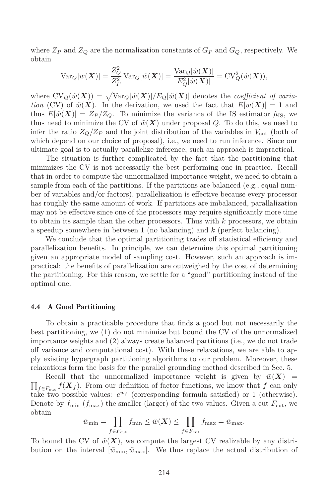where  $Z_P$  and  $Z_Q$  are the normalization constants of  $G_P$  and  $G_Q$ , respectively. We obtain

$$
\operatorname{Var}_{Q}[w(\boldsymbol{X})] = \frac{Z_{Q}^{2}}{Z_{P}^{2}} \operatorname{Var}_{Q}[\tilde{w}(\boldsymbol{X})] = \frac{\operatorname{Var}_{Q}[\tilde{w}(\boldsymbol{X})]}{E_{Q}^{2}[\tilde{w}(\boldsymbol{X})]} = \operatorname{CV}_{Q}^{2}(\tilde{w}(\boldsymbol{X})),
$$

where  $CV_Q(\tilde{w}(X)) = \sqrt{Var_Q[\tilde{w}(X)]}/E_Q[\tilde{w}(X)]$  denotes the *coefficient of variation* (CV) of  $\tilde{w}(\mathbf{X})$ . In the derivation, we used the fact that  $E[w(\mathbf{X})] = 1$  and thus  $E[\tilde{w}(\bm{X})] = Z_P/Z_O$ . To minimize the variance of the IS estimator  $\hat{\mu}_{\text{IS}}$ , we thus need to minimize the CV of  $\tilde{w}(X)$  under proposal *Q*. To do this, we need to infer the ratio  $Z_{Q}/Z_{P}$  and the joint distribution of the variables in  $V_{\text{cut}}$  (both of which depend on our choice of proposal), i.e., we need to run inference. Since our ultimate goal is to actually parallelize inference, such an approach is impractical.

The situation is further complicated by the fact that the partitioning that minimizes the CV is not necessarily the best performing one in practice. Recall that in order to compute the unnormalized importance weight, we need to obtain a sample from each of the partitions. If the partitions are balanced (e.g., equal number of variables and/or factors), parallelization is effective because every processor has roughly the same amount of work. If partitions are imbalanced, parallalization may not be effective since one of the processors may require significantly more time to obtain its sample than the other processors. Thus with *k* processors, we obtain a speedup somewhere in between 1 (no balancing) and *k* (perfect balancing).

We conclude that the optimal partitioning trades off statistical efficiency and parallelization benefits. In principle, we can determine this optimal partitioning given an appropriate model of sampling cost. However, such an approach is impractical: the benefits of parallelization are outweighed by the cost of determining the partitioning. For this reason, we settle for a "good" partitioning instead of the optimal one.

#### 4.4 A Good Partitioning

To obtain a practicable procedure that finds a good but not necessarily the best partitioning, we (1) do not minimize but bound the CV of the unnormalized importance weights and (2) always create balanced partitions (i.e., we do not trade off variance and computational cost). With these relaxations, we are able to apply existing hypergraph partitioning algorithms to our problem. Moreover, these relaxations form the basis for the parallel grounding method described in Sec. 5.

 $\prod_{f \in F_{\text{cut}}} f(\boldsymbol{X}_f)$ . From our definition of factor functions, we know that *f* can only Recall that the unnormalized importance weight is given by  $\tilde{w}(\boldsymbol{X})$  = take two possible values:  $e^{w_f}$  (corresponding formula satisfied) or 1 (otherwise). Denote by  $f_{\min}$  ( $f_{\max}$ ) the smaller (larger) of the two values. Given a cut  $F_{\text{cut}}$ , we obtain

$$
\tilde{w}_{\min} = \prod_{f \in F_{\text{cut}}} f_{\min} \le \tilde{w}(\boldsymbol{X}) \le \prod_{f \in F_{\text{cut}}} f_{\max} = \tilde{w}_{\max}.
$$

To bound the CV of  $\tilde{w}(X)$ , we compute the largest CV realizable by any distribution on the interval  $[\tilde{w}_{\text{min}}, \tilde{w}_{\text{max}}]$ . We thus replace the actual distribution of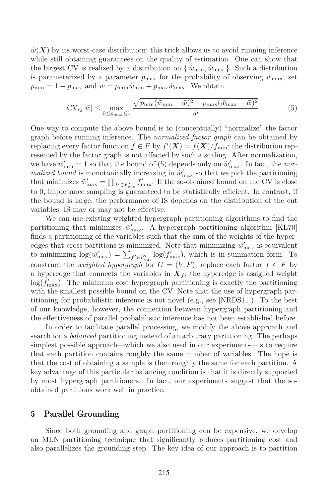$\tilde{w}(\boldsymbol{X})$  by its worst-case distribution; this trick allows us to avoid running inference while still obtaining guarantees on the quality of estimation. One can show that the largest CV is realized by a distribution on  $\{\tilde{w}_{\text{min}}, \tilde{w}_{\text{max}}\}\.$  Such a distribution is parameterized by a parameter  $p_{\text{max}}$  for the probability of observing  $\tilde{w}_{\text{max}}$ ; set  $p_{\min} = 1 - p_{\max}$  and  $\bar{w} = p_{\min} \tilde{w}_{\min} + p_{\max} \tilde{w}_{\max}$ . We obtain

$$
CV_{Q}[\tilde{w}] \le \max_{0 \le p_{\text{max}} \le 1} \frac{\sqrt{p_{\text{min}}(\tilde{w}_{\text{min}} - \bar{w})^2 + p_{\text{max}}(\tilde{w}_{\text{max}} - \bar{w})^2}}{\bar{w}}.
$$
(5)

One way to compute the above bound is to (conceptually) "normalize" the factor graph before running inference. The *normalized factor graph* can be obtained by replacing every factor function  $f \in F$  by  $f'(\mathbf{X}) = f(\mathbf{X})/f_{\text{min}}$ ; the distribution represented by the factor graph is not affected by such a scaling. After normalization, we have  $\tilde{w}'_{\text{min}} = 1$  so that the bound of (5) depends only on  $\tilde{w}'_{\text{max}}$ . In fact, the *normalized bound* is monotonically increasing in  $\tilde{w}'_{\text{max}}$  so that we pick the partitioning that minimizes  $\tilde{w}'_{\text{max}} = \prod_{f' \in F'_{\text{cut}}} f'_{\text{max}}$ . If the so-obtained bound on the CV is close to 0, importance sampling is guaranteed to be statistically efficient. In contrast, if the bound is large, the performance of IS depends on the distribution of the cut variables; IS may or may not be effective.

We can use existing weighted hypergraph partitioning algorithms to find the partitioning that minimizes  $\tilde{w}'_{\text{max}}$ . A hypergraph partitioning algorithm [KL70] finds a partitioning of the variables such that the sum of the weights of the hyperedges that cross partitions is minimized. Note that minimizing  $\tilde{w}'_{\text{max}}$  is equivalent to minimizing  $\log(\tilde{w}'_{\max}) = \sum_{f' \in F'_{\text{cut}}} \log(f'_{\max})$ , which is in summation form. To construct the *weighted hypergraph* for  $G = (V, F)$ , replace each factor  $f \in F$  by a hyperedge that connects the variables in  $\mathbf{X}_f$ ; the hyperedge is assigned weight  $\log(f'_{\text{max}})$ . The minimum cost hypergraph partitioning is exactly the partitioning with the smallest possible bound on the CV. Note that the use of hypergraph partitioning for probabilistic inference is not novel (e.g., see [NRDS11]). To the best of our knowledge, however, the connection between hypergraph partitioning and the effectiveness of parallel probabilistic inference has not been established before.

In order to facilitate parallel processing, we modify the above approach and search for a *balanced* partitioning instead of an arbitrary partitioning. The perhaps simplest possible approach—which we also used in our experiments—is to require that each partition contains roughly the same number of variables. The hope is that the cost of obtaining a sample is then roughly the same for each partition. A key advantage of this particular balancing condition is that it is directly supported by most hypergraph partitioners. In fact, our experiments suggest that the soobtained partitions work well in practice.

# 5 Parallel Grounding

Since both grounding and graph partitioning can be expensive, we develop an MLN partitioning technique that significantly reduces partitioning cost and also parallelizes the grounding step. The key idea of our approach is to partition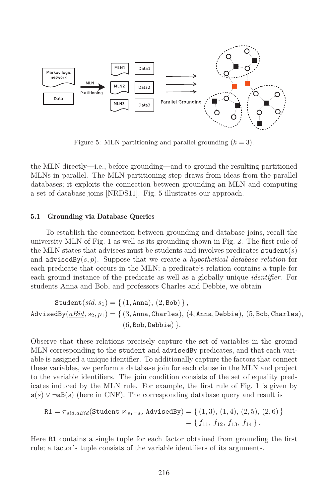

Figure 5: MLN partitioning and parallel grounding  $(k = 3)$ .

the MLN directly—i.e., before grounding—and to ground the resulting partitioned MLNs in parallel. The MLN partitioning step draws from ideas from the parallel databases; it exploits the connection between grounding an MLN and computing a set of database joins [NRDS11]. Fig. 5 illustrates our approach.

## 5.1 Grounding via Database Queries

To establish the connection between grounding and database joins, recall the university MLN of Fig. 1 as well as its grounding shown in Fig. 2. The first rule of the MLN states that advisees must be students and involves predicates student(*s*) and advisedBy(*s, p*). Suppose that we create a *hypothetical database relation* for each predicate that occurs in the MLN; a predicate's relation contains a tuple for each ground instance of the predicate as well as a globally unique *identifier*. For students Anna and Bob, and professors Charles and Debbie, we obtain

$$
\begin{aligned} \mathtt{Student}(\underline{\mathit{sid}},s_1) &= \{\, (1,\mathtt{Anna}),\, (2,\mathtt{Bob})\,\}\,,\\ \mathtt{AdvisedBy}(\underline{\mathit{abid}},s_2,p_1) &= \{\, (3,\mathtt{Anna},\mathtt{Charles}),\, (4,\mathtt{Anna},\mathtt{Debbie}),\, (5,\mathtt{Bob},\mathtt{Charles}),\, (6,\mathtt{Bob},\mathtt{Debbie})\,\}. \end{aligned}
$$

Observe that these relations precisely capture the set of variables in the ground MLN corresponding to the student and advisedBy predicates, and that each variable is assigned a unique identifier. To additionally capture the factors that connect these variables, we perform a database join for each clause in the MLN and project to the variable identifiers. The join condition consists of the set of equality predicates induced by the MLN rule. For example, the first rule of Fig. 1 is given by  $s(s)$  ∨ ¬aB(s) (here in CNF). The corresponding database query and result is

$$
\mathtt{R1} = \pi_{sid, aBid}(\mathtt{Student} \Join_{s_1 = s_2} \mathtt{AdvisedBy}) = \{ (1, 3), (1, 4), (2, 5), (2, 6) \} = \{ f_{11}, f_{12}, f_{13}, f_{14} \}.
$$

Here R1 contains a single tuple for each factor obtained from grounding the first rule; a factor's tuple consists of the variable identifiers of its arguments.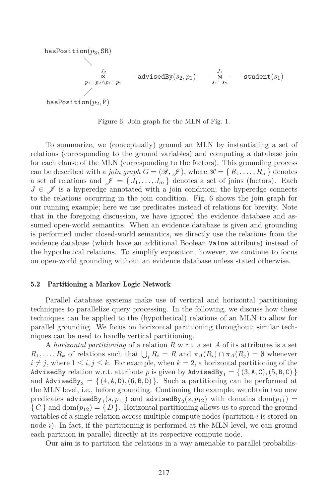$$
\begin{array}{c}\n\texttt{hasPosition}(p_3,\texttt{SR}) \\
\searrow{\scriptsize\begin{array}{c}J_2\\p_1=p_2\wedge p_1=p_3\end{array}}} \texttt{--} \texttt{advisedBy}(s_2,p_1)\texttt{--}\underset{s_1=s_2}{\overset{J_1}{\times}} \texttt{--} \texttt{student}(s_1)\\ \n\texttt{hasPosition}(p_2,\texttt{P})\n\end{array}
$$

Figure 6: Join graph for the MLN of Fig. 1.

To summarize, we (conceptually) ground an MLN by instantiating a set of relations (corresponding to the ground variables) and computing a database join for each clause of the MLN (corresponding to the factors). This grounding process can be described with a *join graph*  $G = (\mathcal{R}, \mathcal{J})$ , where  $\mathcal{R} = \{R_1, \ldots, R_n\}$  denotes a set of relations and  $\mathscr{J} = \{J_1, \ldots, J_m\}$  denotes a set of joins (factors). Each  $J \in \mathscr{J}$  is a hyperedge annotated with a join condition; the hyperedge connects to the relations occurring in the join condition. Fig. 6 shows the join graph for our running example; here we use predicates instead of relations for brevity. Note that in the foregoing discussion, we have ignored the evidence database and assumed open-world semantics. When an evidence database is given and grounding is performed under closed-world semantics, we directly use the relations from the evidence database (which have an additional Boolean Value attribute) instead of the hypothetical relations. To simplify exposition, however, we continue to focus on open-world grounding without an evidence database unless stated otherwise.

### 5.2 Partitioning a Markov Logic Network

Parallel database systems make use of vertical and horizontal partitioning techniques to parallelize query processing. In the following, we discuss how these techniques can be applied to the (hypothetical) relations of an MLN to allow for parallel grounding. We focus on horizontal partitioning throughout; similar techniques can be used to handle vertical partitioning.

A *horizontal partitioning* of a relation *R* w.r.t. a set *A* of its attributes is a set  $R_1, \ldots, R_k$  of relations such that  $\bigcup_i R_i = R$  and  $\pi_A(R_i) \cap \pi_A(R_j) = \emptyset$  whenever  $i \neq j$ , where  $1 \leq i, j \leq k$ . For example, when  $k = 2$ , a horizontal partitioning of the AdvisedBy relation w.r.t. attribute p is given by  $\texttt{AdvisedBy}_1 = \{ (3, \texttt{A}, \texttt{C}), (5, \texttt{B}, \texttt{C}) \}$ and  $\text{AdvisedBy}_2 = \{ (4, A, D), (6, B, D) \}.$  Such a partitioning can be performed at the MLN level, i.e., before grounding. Continuing the example, we obtain two new predicates  $\texttt{advisedBy}\xspace_1(s, p_{11})$  and  $\texttt{advisedBy}\xspace_2(s, p_{12})$  with domains  $\texttt{dom}(p_{11}) =$  ${C \atop C}$  and dom $(p_{12}) = {D}.$  Horizontal partitioning allows us to spread the ground variables of a single relation across multiple compute nodes (partition *i* is stored on node *i*). In fact, if the partitioning is performed at the MLN level, we can ground each partition in parallel directly at its respective compute node.

Our aim is to partition the relations in a way amenable to parallel probabilis-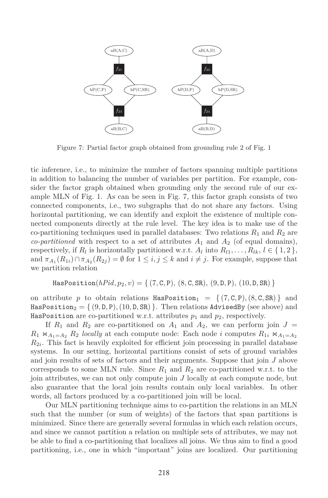

Figure 7: Partial factor graph obtained from grounding rule 2 of Fig. 1

tic inference, i.e., to minimize the number of factors spanning multiple partitions in addition to balancing the number of variables per partition. For example, consider the factor graph obtained when grounding only the second rule of our example MLN of Fig. 1. As can be seen in Fig. 7, this factor graph consists of two connected components, i.e., two subgraphs that do not share any factors. Using horizontal partitioning, we can identify and exploit the existence of multiple connected components directly at the rule level. The key idea is to make use of the co-partitioning techniques used in parallel databases: Two relations  $R_1$  and  $R_2$  are *co-partitioned* with respect to a set of attributes  $A_1$  and  $A_2$  (of equal domains), respectively, if  $R_l$  is horizontally partitioned w.r.t.  $A_l$  into  $R_{l1}, \ldots, R_{lk}, l \in \{1, 2\}$ , and  $\pi_{A_1}(R_{1i}) \cap \pi_{A_2}(R_{2j}) = \emptyset$  for  $1 \leq i, j \leq k$  and  $i \neq j$ . For example, suppose that we partition relation

$$
\mathtt{HasPosition}(hPid, p_2, v) = \{ (7, C, P), (8, C, SR), (9, D, P), (10, D, SR) \}
$$

on attribute p to obtain relations  $\text{HasPosition}_1 = \{ (7, C, P), (8, C, SR) \}$  and HasPosition<sub>2</sub> =  $\{(9, D, P), (10, D, SR)\}\.$  Then relations AdvisedBy (see above) and HasPosition are co-partitioned w.r.t. attributes  $p_1$  and  $p_2$ , respectively.

If  $R_1$  and  $R_2$  are co-partitioned on  $A_1$  and  $A_2$ , we can perform join  $J =$  $R_1 \Join_{A_1=A_2} R_2$  *locally* at each compute node: Each node *i* computes  $R_{1i} \Join_{A_1=A_2} R_2$  $R_{2i}$ . This fact is heavily exploited for efficient join processing in parallel database systems. In our setting, horizontal partitions consist of sets of ground variables and join results of sets of factors and their arguments. Suppose that join *J* above corresponds to some MLN rule. Since  $R_1$  and  $R_2$  are co-partitioned w.r.t. to the join attributes, we can not only compute join *J* locally at each compute node, but also guarantee that the local join results contain only local variables. In other words, all factors produced by a co-partitioned join will be local.

Our MLN partitioning technique aims to co-partition the relations in an MLN such that the number (or sum of weights) of the factors that span partitions is minimized. Since there are generally several formulas in which each relation occurs, and since we cannot partition a relation on multiple sets of attributes, we may not be able to find a co-partitioning that localizes all joins. We thus aim to find a good partitioning, i.e., one in which "important" joins are localized. Our partitioning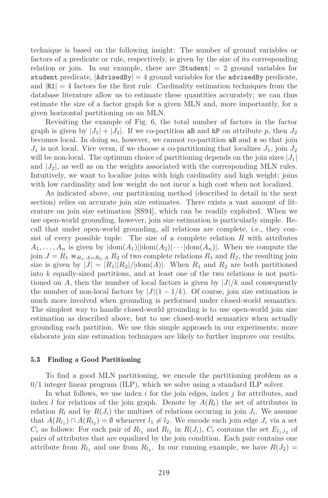technique is based on the following insight: The number of ground variables or factors of a predicate or rule, respectively, is given by the size of its corresponding relation or join. In our example, there are  $|\text{Student}| = 2$  ground variables for student predicate,  $|A \text{divisedBy}| = 4$  ground variables for the advisedBy predicate, and  $|R1| = 4$  factors for the first rule. Cardinality estimation techniques from the database literature allow us to estimate these quantities accurately; we can thus estimate the size of a factor graph for a given MLN and, more importantly, for a given horizontal partitioning on an MLN.

Revisiting the example of Fig. 6, the total number of factors in the factor graph is given by  $|J_1| + |J_2|$ . If we co-partition aB and hP on attribute p, then  $J_2$ becomes local. In doing so, however, we cannot co-partition aB and s so that join  $J_1$  is not local. Vice versa, if we choose a co-partitioning that localizes  $J_1$ , join  $J_2$ will be non-local. The optimum choice of partitioning depends on the join sizes  $|J_1|$ and  $|J_2|$ , as well as on the weights associated with the corresponding MLN rules. Intuitively, we want to localize joins with high cardinality and high weight; joins with low cardinality and low weight do not incur a high cost when not localized.

As indicated above, our partitioning method (described in detail in the next section) relies on accurate join size estimates. There exists a vast amount of literature on join size estimation [SS94], which can be readily exploited. When we use open-world grounding, however, join size estimation is particularly simple. Recall that under open-world grounding, all relations are complete, i.e., they consist of every possible tuple. The size of a complete relation *R* with attributes  $A_1, \ldots, A_n$  is given by  $|\text{dom}(A_1)||\text{dom}(A_2)| \cdots |\text{dom}(A_n)|$ . When we compute the join  $J = R_1 \Join_{R_1 \cdot A = R_2 \cdot A} R_2$  of two complete relations  $R_1$  and  $R_2$ , the resulting join size is given by  $|J| = |R_1||R_2|/|\text{dom}(A)|$ . When  $R_1$  and  $R_2$  are both partitioned into *k* equally-sized partitions, and at least one of the two relations is not partitioned on *A*, then the number of local factors is given by  $|J|/k$  and consequently the number of non-local factors by  $|J|(1 - 1/k)$ . Of course, join size estimation is much more involved when grounding is performed under closed-world semantics. The simplest way to handle closed-world grounding is to use open-world join size estimation as described above, but to use closed-world semantics when actually grounding each partition. We use this simple approach in our experiments; more elaborate join size estimation techniques are likely to further improve our results.

#### 5.3 Finding a Good Partitioning

To find a good MLN partitioning, we encode the partitioning problem as a 0*/*1 integer linear program (ILP), which we solve using a standard ILP solver.

In what follows, we use index *i* for the join edges, index *j* for attributes, and index *l* for relations of the join graph. Denote by  $A(R_l)$  the set of attributes in relation  $R_l$  and by  $R(J_i)$  the multiset of relations occuring in join  $J_i$ . We assume that  $A(R_{l_1}) \cap A(R_{l_2}) = \emptyset$  whenever  $l_1 \neq l_2$ . We encode each join edge  $J_i$  via a set  $C_i$  as follows: For each pair of  $R_{l_1}$  and  $R_{l_2}$  in  $R(J_i)$ ,  $C_i$  contains the set  $E_{l_1,l_2}$  of pairs of attributes that are equalized by the join condition. Each pair contains one attribute from  $R_{l_1}$  and one from  $R_{l_2}$ . In our running example, we have  $R(J_2)$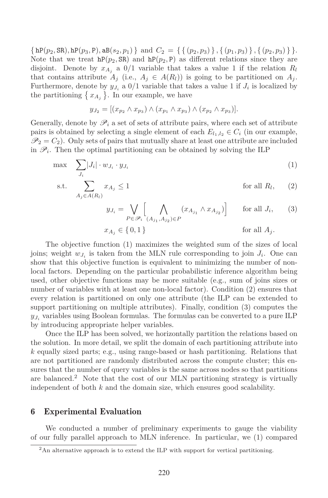$\{ \text{hP}(p_2, \text{SR}) , \text{hP}(p_3, \text{P}) , \text{aB}(s_2, p_1) \}$  and  $C_2 = \{ \{ (p_2, p_3) \}, \{ (p_1, p_3) \}, \{ (p_2, p_3) \} \}.$ Note that we treat  $hP(p_2, SR)$  and  $hP(p_2, P)$  as different relations since they are disjoint. Denote by  $x_{A_i}$  a  $0/1$  variable that takes a value 1 if the relation  $R_l$ that contains attribute  $A_j$  (i.e.,  $A_j \in A(R_l)$ ) is going to be partitioned on  $A_j$ . Furthermore, denote by  $y_{J_i}$  a  $0/1$  variable that takes a value 1 if  $J_i$  is localized by the partitioning  $\{x_{A_j}\}\$ . In our example, we have

$$
y_{J_2} = [(x_{p_2} \wedge x_{p_3}) \wedge (x_{p_1} \wedge x_{p_3}) \wedge (x_{p_2} \wedge x_{p_3})].
$$

Generally, denote by  $\mathscr{P}_i$  a set of sets of attribute pairs, where each set of attribute pairs is obtained by selecting a single element of each  $E_{l_1,l_2} \in C_i$  (in our example,  $\mathcal{P}_2 = C_2$ ). Only sets of pairs that mutually share at least one attribute are included in  $\mathscr{P}_i$ . Then the optimal partitioning can be obtained by solving the ILP

$$
\max \sum_{J_i} |J_i| \cdot w_{J_i} \cdot y_{J_i} \tag{1}
$$

s.t. 
$$
\sum_{A_j \in A(R_l)} x_{A_j} \le 1
$$
 for all  $R_l$ , (2)

$$
y_{J_i} = \bigvee_{P \in \mathscr{P}_i} \left[ \bigwedge_{(A_{j_1}, A_{j_2}) \in P} (x_{A_{j_1}} \wedge x_{A_{j_2}}) \right] \quad \text{for all } J_i,
$$
 (3)

$$
x_{A_j} \in \{0, 1\} \qquad \text{for all } A_j.
$$

The objective function (1) maximizes the weighted sum of the sizes of local joins; weight  $w_{J_i}$  is taken from the MLN rule corresponding to join  $J_i$ . One can show that this objective function is equivalent to minimizing the number of nonlocal factors. Depending on the particular probabilistic inference algorithm being used, other objective functions may be more suitable (e.g., sum of joins sizes or number of variables with at least one non-local factor). Condition (2) ensures that every relation is partitioned on only one attribute (the ILP can be extended to support partitioning on multiple attributes). Finally, condition (3) computes the  $y_{J_i}$  variables using Boolean formulas. The formulas can be converted to a pure ILP by introducing appropriate helper variables.

Once the ILP has been solved, we horizontally partition the relations based on the solution. In more detail, we split the domain of each partitioning attribute into *k* equally sized parts; e.g., using range-based or hash partitioning. Relations that are not partitioned are randomly distributed across the compute cluster; this ensures that the number of query variables is the same across nodes so that partitions are balanced.<sup>2</sup> Note that the cost of our MLN partitioning strategy is virtually independent of both *k* and the domain size, which ensures good scalability.

# 6 Experimental Evaluation

We conducted a number of preliminary experiments to gauge the viability of our fully parallel approach to MLN inference. In particular, we (1) compared

<sup>&</sup>lt;sup>2</sup>An alternative approach is to extend the ILP with support for vertical partitioning.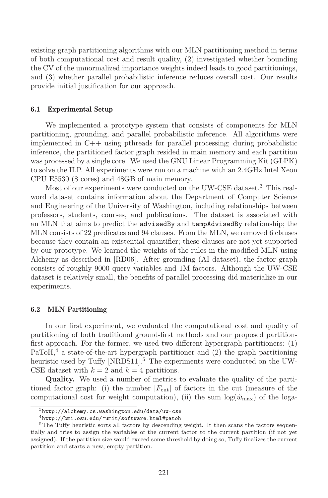existing graph partitioning algorithms with our MLN partitioning method in terms of both computational cost and result quality, (2) investigated whether bounding the CV of the unnormalized importance weights indeed leads to good partitionings, and (3) whether parallel probabilistic inference reduces overall cost. Our results provide initial justification for our approach.

### 6.1 Experimental Setup

We implemented a prototype system that consists of components for MLN partitioning, grounding, and parallel probabilistic inference. All algorithms were implemented in C++ using pthreads for parallel processing; during probabilistic inference, the partitioned factor graph resided in main memory and each partition was processed by a single core. We used the GNU Linear Programming Kit (GLPK) to solve the ILP. All experiments were run on a machine with an 2.4GHz Intel Xeon CPU E5530 (8 cores) and 48GB of main memory.

Most of our experiments were conducted on the UW-CSE dataset.<sup>3</sup> This realword dataset contains information about the Department of Computer Science and Engineering of the University of Washington, including relationships between professors, students, courses, and publications. The dataset is associated with an MLN that aims to predict the advisedBy and tempAdvisedBy relationship; the MLN consists of  $22$  predicates and  $94$  clauses. From the MLN, we removed 6 clauses because they contain an existential quantifier; these clauses are not yet supported by our prototype. We learned the weights of the rules in the modified MLN using Alchemy as described in [RD06]. After grounding (AI dataset), the factor graph consists of roughly 9000 query variables and 1M factors. Although the UW-CSE dataset is relatively small, the benefits of parallel processing did materialize in our experiments.

## 6.2 MLN Partitioning

In our first experiment, we evaluated the computational cost and quality of partitioning of both traditional ground-first methods and our proposed partitionfirst approach. For the former, we used two different hypergraph partitioners: (1)  $PaToH<sup>4</sup>$  a state-of-the-art hypergraph partitioner and (2) the graph partitioning heuristic used by Tuffy [NRDS11].<sup>5</sup> The experiments were conducted on the UW-CSE dataset with  $k = 2$  and  $k = 4$  partitions.

**Quality.** We used a number of metrics to evaluate the quality of the partitioned factor graph: (i) the number  $|F_{\text{cut}}|$  of factors in the cut (measure of the computational cost for weight computation), (ii) the sum  $\log(\tilde{w}_{\text{max}})$  of the loga-

<sup>3</sup>http://alchemy.cs.washington.edu/data/uw-cse

 $^4$ http://bmi.osu.edu/~umit/software.html#patoh

<sup>&</sup>lt;sup>5</sup>The Tuffy heuristic sorts all factors by descending weight. It then scans the factors sequentially and tries to assign the variables of the current factor to the current partition (if not yet assigned). If the partition size would exceed some threshold by doing so, Tuffy finalizes the current partition and starts a new, empty partition.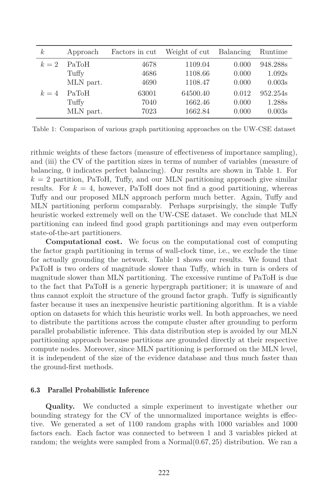| k <sub>i</sub> | Approach           | Factors in cut | Weight of cut Balancing |       | Runtime  |
|----------------|--------------------|----------------|-------------------------|-------|----------|
| $k=2$          | PaToH              | 4678           | 1109.04                 | 0.000 | 948.288s |
|                | Tuffy              | 4686           | 1108.66                 | 0.000 | 1.092s   |
|                | MLN part.          | 4690           | 1108.47                 | 0.000 | 0.003s   |
| $k=4$          | PaT <sub>o</sub> H | 63001          | 64500.40                | 0.012 | 952.254s |
|                | Tuffy              | 7040           | 1662.46                 | 0.000 | 1.288s   |
|                | MLN part.          | 7023           | 1662.84                 | 0.000 | 0.003s   |

Table 1: Comparison of various graph partitioning approaches on the UW-CSE dataset

rithmic weights of these factors (measure of effectiveness of importance sampling), and (iii) the CV of the partition sizes in terms of number of variables (measure of balancing, 0 indicates perfect balancing). Our results are shown in Table 1. For  $k = 2$  partition, PaToH, Tuffy, and our MLN partitioning approach give similar results. For  $k = 4$ , however, PaToH does not find a good partitioning, whereas Tuffy and our proposed MLN approach perform much better. Again, Tuffy and MLN partitioning perform comparably. Perhaps surprisingly, the simple Tuffy heuristic worked extremely well on the UW-CSE dataset. We conclude that MLN partitioning can indeed find good graph partitionings and may even outperform state-of-the-art partitioners.

**Computational cost.** We focus on the computational cost of computing the factor graph partitioning in terms of wall-clock time, i.e., we exclude the time for actually grounding the network. Table 1 shows our results. We found that PaToH is two orders of magnitude slower than Tuffy, which in turn is orders of magnitude slower than MLN partitioning. The excessive runtime of PaToH is due to the fact that PaToH is a generic hypergraph partitioner; it is unaware of and thus cannot exploit the structure of the ground factor graph. Tuffy is significantly faster because it uses an inexpensive heuristic partitioning algorithm. It is a viable option on datasets for which this heuristic works well. In both approaches, we need to distribute the partitions across the compute cluster after grounding to perform parallel probabilistic inference. This data distribution step is avoided by our MLN partitioning approach because partitions are grounded directly at their respective compute nodes. Moreover, since MLN partitioning is performed on the MLN level, it is independent of the size of the evidence database and thus much faster than the ground-first methods.

## 6.3 Parallel Probabilistic Inference

**Quality.** We conducted a simple experiment to investigate whether our bounding strategy for the CV of the unnormalized importance weights is effective. We generated a set of 1100 random graphs with 1000 variables and 1000 factors each. Each factor was connected to between 1 and 3 variables picked at random; the weights were sampled from a Normal(0*.*67*,* 25) distribution. We ran a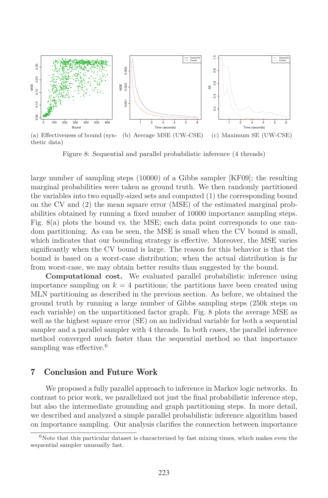

Figure 8: Sequential and parallel probabilistic inference (4 threads)

large number of sampling steps (10000) of a Gibbs sampler [KF09]; the resulting marginal probabilities were taken as ground truth. We then randomly partitioned the variables into two equally-sized sets and computed (1) the corresponding bound on the CV and (2) the mean square error (MSE) of the estimated marginal probabilities obtained by running a fixed number of 10000 importance sampling steps. Fig. 8(a) plots the bound vs. the MSE; each data point corresponds to one random partitioning. As can be seen, the MSE is small when the CV bound is small, which indicates that our bounding strategy is effective. Moreover, the MSE varies significantly when the CV bound is large. The reason for this behavior is that the bound is based on a worst-case distribution; when the actual distribution is far from worst-case, we may obtain better results than suggested by the bound.

**Computational cost.** We evaluated parallel probabilistic inference using importance sampling on  $k = 4$  partitions; the partitions have been created using MLN partitioning as described in the previous section. As before, we obtained the ground truth by running a large number of Gibbs sampling steps (250k steps on each variable) on the unpartitioned factor graph. Fig. 8 plots the average MSE as well as the highest square error (SE) on an individual variable for both a sequential sampler and a parallel sampler with 4 threads. In both cases, the parallel inference method converged much faster than the sequential method so that importance sampling was effective.<sup>6</sup>

## 7 Conclusion and Future Work

We proposed a fully parallel approach to inference in Markov logic networks. In contrast to prior work, we parallelized not just the final probabilistic inference step, but also the intermediate grounding and graph partitioning steps. In more detail, we described and analyzed a simple parallel probabilistic inference algorithm based on importance sampling. Our analysis clarifies the connection between importance

 $6$ Note that this particular dataset is characterized by fast mixing times, which makes even the sequential sampler unusually fast.